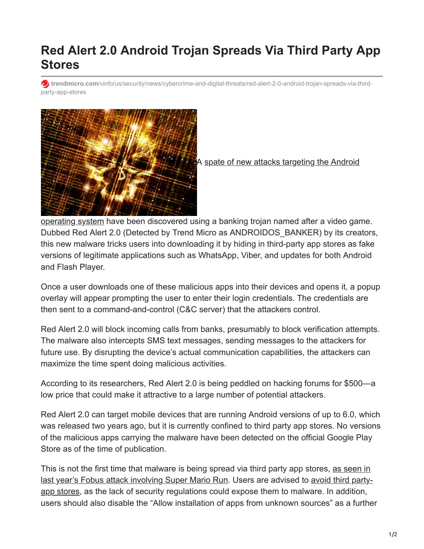## **Red Alert 2.0 Android Trojan Spreads Via Third Party App Stores**

**trendmicro.com**[/vinfo/us/security/news/cybercrime-and-digital-threats/red-alert-2-0-android-trojan-spreads-via-third](https://www.trendmicro.com/vinfo/us/security/news/cybercrime-and-digital-threats/red-alert-2-0-android-trojan-spreads-via-third-party-app-stores)party-app-stores



A spate of new attacks targeting the Android

[operating system have been discovered using a banking trojan named after a video gam](https://www.bleepingcomputer.com/news/security/researchers-discover-new-android-banking-trojan/)e. Dubbed Red Alert 2.0 (Detected by Trend Micro as ANDROIDOS\_BANKER) by its creators, this new malware tricks users into downloading it by hiding in third-party app stores as fake versions of legitimate applications such as WhatsApp, Viber, and updates for both Android and Flash Player.

Once a user downloads one of these malicious apps into their devices and opens it, a popup overlay will appear prompting the user to enter their login credentials. The credentials are then sent to a command-and-control (C&C server) that the attackers control.

Red Alert 2.0 will block incoming calls from banks, presumably to block verification attempts. The malware also intercepts SMS text messages, sending messages to the attackers for future use. By disrupting the device's actual communication capabilities, the attackers can maximize the time spent doing malicious activities.

According to its researchers, Red Alert 2.0 is being peddled on hacking forums for \$500—a low price that could make it attractive to a large number of potential attackers.

Red Alert 2.0 can target mobile devices that are running Android versions of up to 6.0, which was released two years ago, but it is currently confined to third party app stores. No versions of the malicious apps carrying the malware have been detected on the official Google Play Store as of the time of publication.

This is not the first time that malware is being spread via third party app stores, as seen in [last year's Fobus attack involving Super Mario Run. Users are advised to avoid third party](http://blog.trendmicro.com/stay-away-from-third-party-app-stores/)app stores, as the lack of security regulations could expose them to malware. In addition, users should also disable the "Allow installation of apps from unknown sources" as a further